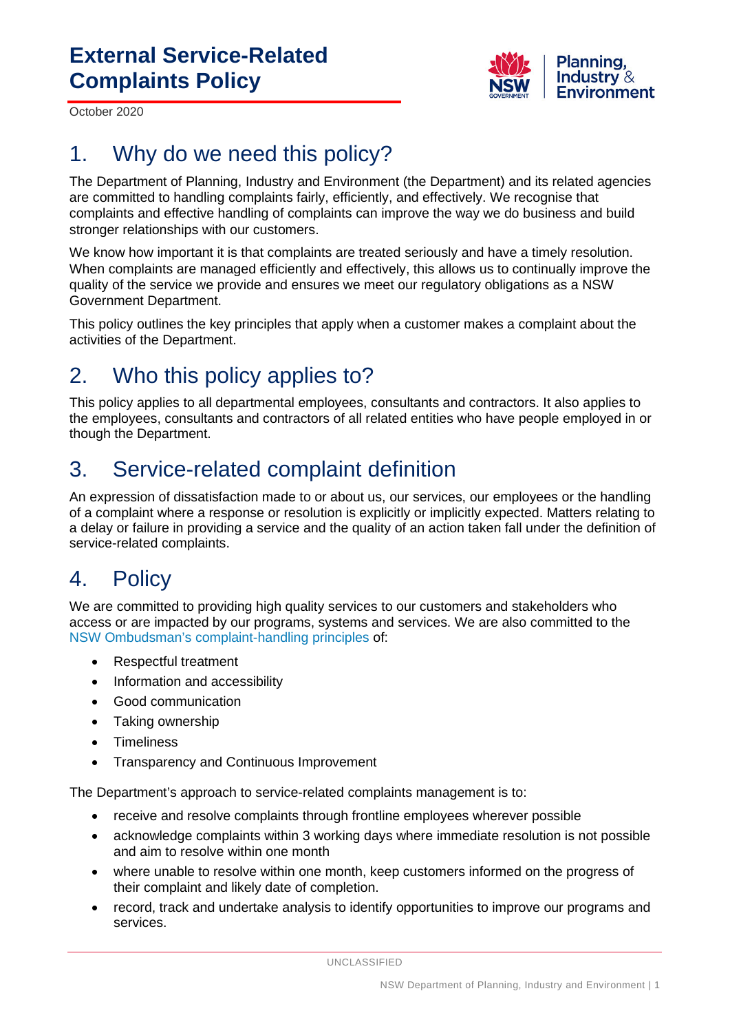

October 2020

# 1. Why do we need this policy?

The Department of Planning, Industry and Environment (the Department) and its related agencies are committed to handling complaints fairly, efficiently, and effectively. We recognise that complaints and effective handling of complaints can improve the way we do business and build stronger relationships with our customers.

We know how important it is that complaints are treated seriously and have a timely resolution. When complaints are managed efficiently and effectively, this allows us to continually improve the quality of the service we provide and ensures we meet our regulatory obligations as a NSW Government Department.

This policy outlines the key principles that apply when a customer makes a complaint about the activities of the Department.

# 2. Who this policy applies to?

This policy applies to all departmental employees, consultants and contractors. It also applies to the employees, consultants and contractors of all related entities who have people employed in or though the Department.

# 3. Service-related complaint definition

An expression of dissatisfaction made to or about us, our services, our employees or the handling of a complaint where a response or resolution is explicitly or implicitly expected. Matters relating to a delay or failure in providing a service and the quality of an action taken fall under the definition of service-related complaints.

#### 4. Policy

We are committed to providing high quality services to our customers and stakeholders who access or are impacted by our programs, systems and services. We are also committed to the [NSW Ombudsman's complaint-handling principles](https://www.ombo.nsw.gov.au/complaints/Complaint-handling-resources/applying-commitments) of:

- Respectful treatment
- Information and accessibility
- Good communication
- Taking ownership
- Timeliness
- Transparency and Continuous Improvement

The Department's approach to service-related complaints management is to:

- receive and resolve complaints through frontline employees wherever possible
- acknowledge complaints within 3 working days where immediate resolution is not possible and aim to resolve within one month
- where unable to resolve within one month, keep customers informed on the progress of their complaint and likely date of completion.
- record, track and undertake analysis to identify opportunities to improve our programs and services.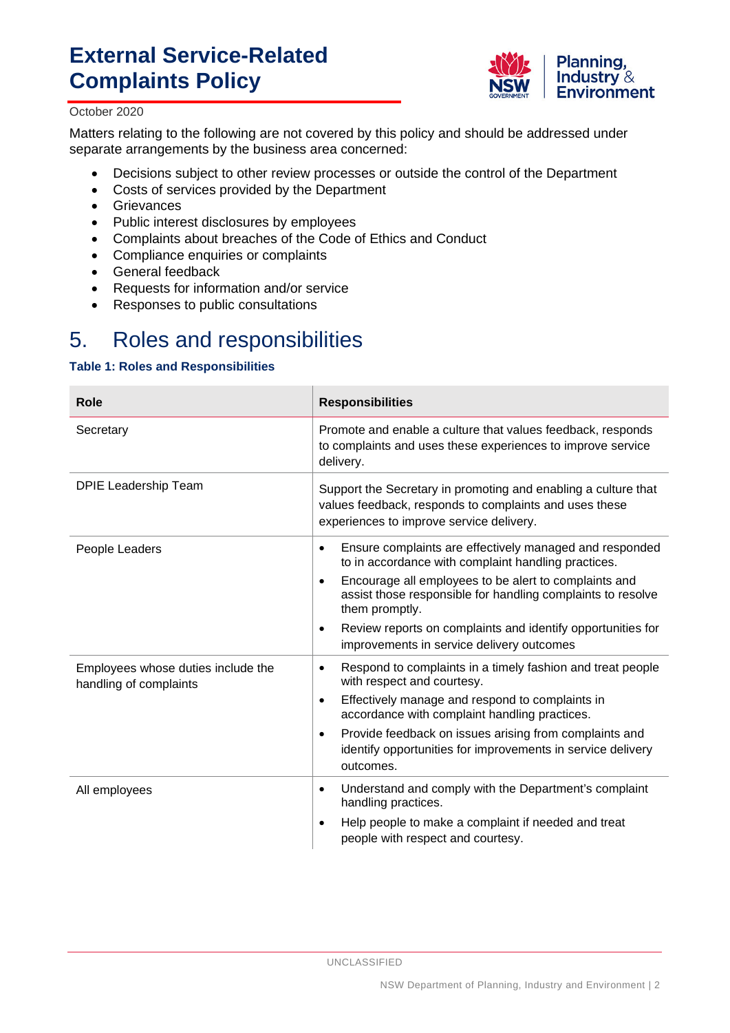# **External Service-Related Complaints Policy**



#### October 2020

Matters relating to the following are not covered by this policy and should be addressed under separate arrangements by the business area concerned:

- Decisions subject to other review processes or outside the control of the Department
- Costs of services provided by the Department
- Grievances
- Public interest disclosures by employees
- Complaints about breaches of the Code of Ethics and Conduct<br>• Compliance enquiries or complaints
- Compliance enquiries or complaints
- General feedback
- Requests for information and/or service
- Responses to public consultations

#### 5. Roles and responsibilities

#### **Table 1: Roles and Responsibilities**

| Role                                                         | <b>Responsibilities</b>                                                                                                                                              |
|--------------------------------------------------------------|----------------------------------------------------------------------------------------------------------------------------------------------------------------------|
| Secretary                                                    | Promote and enable a culture that values feedback, responds<br>to complaints and uses these experiences to improve service<br>delivery.                              |
| <b>DPIE Leadership Team</b>                                  | Support the Secretary in promoting and enabling a culture that<br>values feedback, responds to complaints and uses these<br>experiences to improve service delivery. |
| People Leaders                                               | Ensure complaints are effectively managed and responded<br>$\bullet$<br>to in accordance with complaint handling practices.                                          |
|                                                              | Encourage all employees to be alert to complaints and<br>$\bullet$<br>assist those responsible for handling complaints to resolve<br>them promptly.                  |
|                                                              | Review reports on complaints and identify opportunities for<br>$\bullet$<br>improvements in service delivery outcomes                                                |
| Employees whose duties include the<br>handling of complaints | Respond to complaints in a timely fashion and treat people<br>$\bullet$<br>with respect and courtesy.                                                                |
|                                                              | Effectively manage and respond to complaints in<br>$\bullet$<br>accordance with complaint handling practices.                                                        |
|                                                              | Provide feedback on issues arising from complaints and<br>$\bullet$<br>identify opportunities for improvements in service delivery<br>outcomes.                      |
| All employees                                                | Understand and comply with the Department's complaint<br>$\bullet$<br>handling practices.                                                                            |
|                                                              | Help people to make a complaint if needed and treat<br>$\bullet$<br>people with respect and courtesy.                                                                |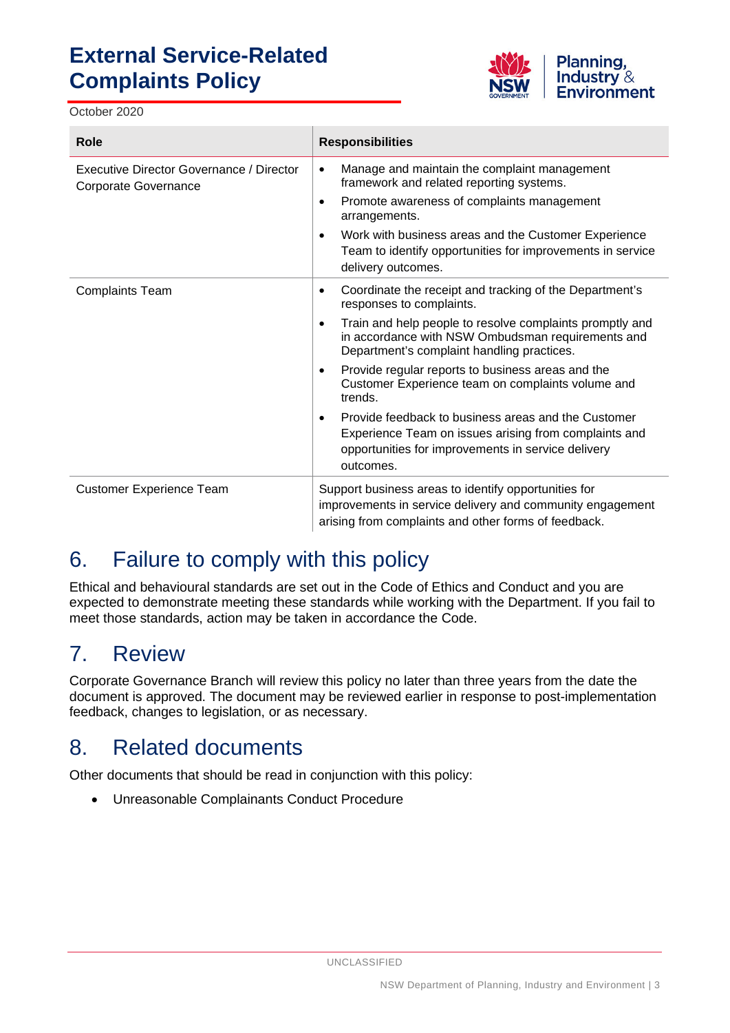# **External Service-Related Complaints Policy**

October 2020



| Role                                                             | <b>Responsibilities</b>                                                                                                                                                                                                                                |
|------------------------------------------------------------------|--------------------------------------------------------------------------------------------------------------------------------------------------------------------------------------------------------------------------------------------------------|
| Executive Director Governance / Director<br>Corporate Governance | Manage and maintain the complaint management<br>$\bullet$<br>framework and related reporting systems.<br>Promote awareness of complaints management<br>$\bullet$<br>arrangements.<br>Work with business areas and the Customer Experience<br>$\bullet$ |
|                                                                  | Team to identify opportunities for improvements in service<br>delivery outcomes.                                                                                                                                                                       |
| <b>Complaints Team</b>                                           | Coordinate the receipt and tracking of the Department's<br>$\bullet$<br>responses to complaints.                                                                                                                                                       |
|                                                                  | Train and help people to resolve complaints promptly and<br>$\bullet$<br>in accordance with NSW Ombudsman requirements and<br>Department's complaint handling practices.                                                                               |
|                                                                  | Provide regular reports to business areas and the<br>$\bullet$<br>Customer Experience team on complaints volume and<br>trends.                                                                                                                         |
|                                                                  | Provide feedback to business areas and the Customer<br>٠<br>Experience Team on issues arising from complaints and<br>opportunities for improvements in service delivery<br>outcomes.                                                                   |
| <b>Customer Experience Team</b>                                  | Support business areas to identify opportunities for<br>improvements in service delivery and community engagement<br>arising from complaints and other forms of feedback.                                                                              |

# 6. Failure to comply with this policy

Ethical and behavioural standards are set out in the Code of Ethics and Conduct and you are expected to demonstrate meeting these standards while working with the Department. If you fail to meet those standards, action may be taken in accordance the Code.

#### 7. Review

Corporate Governance Branch will review this policy no later than three years from the date the document is approved. The document may be reviewed earlier in response to post-implementation feedback, changes to legislation, or as necessary.

# 8. Related documents

Other documents that should be read in conjunction with this policy:

• Unreasonable Complainants Conduct Procedure